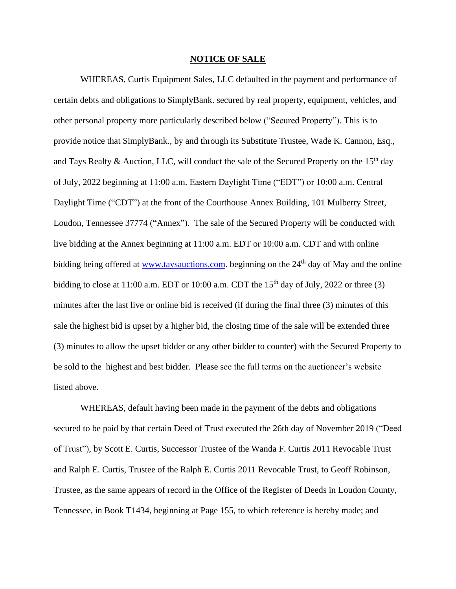## **NOTICE OF SALE**

WHEREAS, Curtis Equipment Sales, LLC defaulted in the payment and performance of certain debts and obligations to SimplyBank. secured by real property, equipment, vehicles, and other personal property more particularly described below ("Secured Property"). This is to provide notice that SimplyBank., by and through its Substitute Trustee, Wade K. Cannon, Esq., and Tays Realty & Auction, LLC, will conduct the sale of the Secured Property on the  $15<sup>th</sup>$  day of July, 2022 beginning at 11:00 a.m. Eastern Daylight Time ("EDT") or 10:00 a.m. Central Daylight Time ("CDT") at the front of the Courthouse Annex Building, 101 Mulberry Street, Loudon, Tennessee 37774 ("Annex"). The sale of the Secured Property will be conducted with live bidding at the Annex beginning at 11:00 a.m. EDT or 10:00 a.m. CDT and with online bidding being offered at [www.taysauctions.com.](about:blank) beginning on the 24<sup>th</sup> day of May and the online bidding to close at 11:00 a.m. EDT or 10:00 a.m. CDT the  $15<sup>th</sup>$  day of July, 2022 or three (3) minutes after the last live or online bid is received (if during the final three (3) minutes of this sale the highest bid is upset by a higher bid, the closing time of the sale will be extended three (3) minutes to allow the upset bidder or any other bidder to counter) with the Secured Property to be sold to the highest and best bidder. Please see the full terms on the auctioneer's website listed above.

WHEREAS, default having been made in the payment of the debts and obligations secured to be paid by that certain Deed of Trust executed the 26th day of November 2019 ("Deed of Trust"), by Scott E. Curtis, Successor Trustee of the Wanda F. Curtis 2011 Revocable Trust and Ralph E. Curtis, Trustee of the Ralph E. Curtis 2011 Revocable Trust, to Geoff Robinson, Trustee, as the same appears of record in the Office of the Register of Deeds in Loudon County, Tennessee, in Book T1434, beginning at Page 155, to which reference is hereby made; and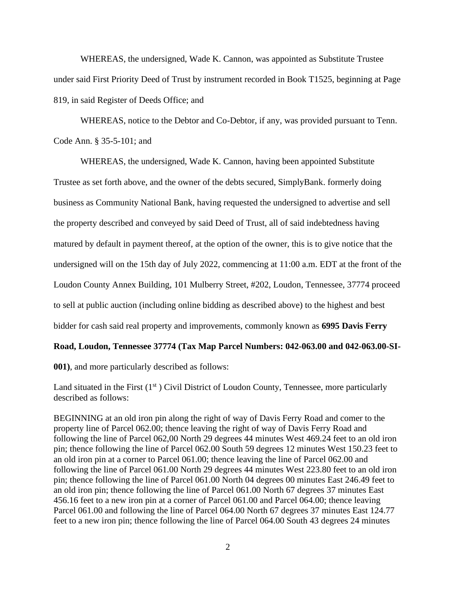WHEREAS, the undersigned, Wade K. Cannon, was appointed as Substitute Trustee under said First Priority Deed of Trust by instrument recorded in Book T1525, beginning at Page 819, in said Register of Deeds Office; and

WHEREAS, notice to the Debtor and Co-Debtor, if any, was provided pursuant to Tenn. Code Ann. § 35-5-101; and

WHEREAS, the undersigned, Wade K. Cannon, having been appointed Substitute Trustee as set forth above, and the owner of the debts secured, SimplyBank. formerly doing business as Community National Bank, having requested the undersigned to advertise and sell the property described and conveyed by said Deed of Trust, all of said indebtedness having matured by default in payment thereof, at the option of the owner, this is to give notice that the undersigned will on the 15th day of July 2022, commencing at 11:00 a.m. EDT at the front of the Loudon County Annex Building, 101 Mulberry Street, #202, Loudon, Tennessee, 37774 proceed to sell at public auction (including online bidding as described above) to the highest and best bidder for cash said real property and improvements, commonly known as **6995 Davis Ferry** 

## **Road, Loudon, Tennessee 37774 (Tax Map Parcel Numbers: 042-063.00 and 042-063.00-SI-**

**001)**, and more particularly described as follows:

Land situated in the First  $(1<sup>st</sup>)$  Civil District of Loudon County, Tennessee, more particularly described as follows:

BEGINNING at an old iron pin along the right of way of Davis Ferry Road and comer to the property line of Parcel 062.00; thence leaving the right of way of Davis Ferry Road and following the line of Parcel 062,00 North 29 degrees 44 minutes West 469.24 feet to an old iron pin; thence following the line of Parcel 062.00 South 59 degrees 12 minutes West 150.23 feet to an old iron pin at a corner to Parcel 061.00; thence leaving the line of Parcel 062.00 and following the line of Parcel 061.00 North 29 degrees 44 minutes West 223.80 feet to an old iron pin; thence following the line of Parcel 061.00 North 04 degrees 00 minutes East 246.49 feet to an old iron pin; thence following the line of Parcel 061.00 North 67 degrees 37 minutes East 456.16 feet to a new iron pin at a corner of Parcel 061.00 and Parcel 064.00; thence leaving Parcel 061.00 and following the line of Parcel 064.00 North 67 degrees 37 minutes East 124.77 feet to a new iron pin; thence following the line of Parcel 064.00 South 43 degrees 24 minutes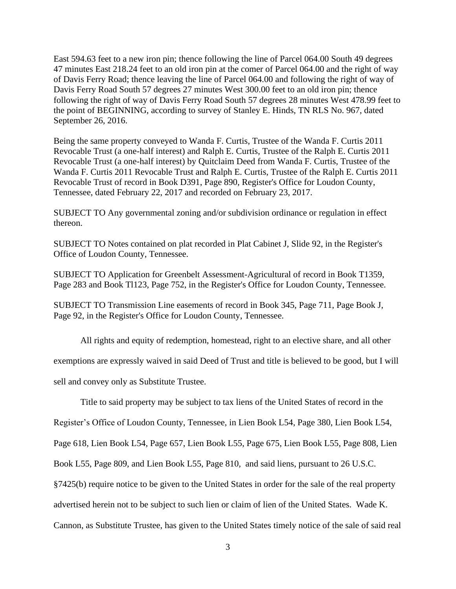East 594.63 feet to a new iron pin; thence following the line of Parcel 064.00 South 49 degrees 47 minutes East 218.24 feet to an old iron pin at the comer of Parcel 064.00 and the right of way of Davis Ferry Road; thence leaving the line of Parcel 064.00 and following the right of way of Davis Ferry Road South 57 degrees 27 minutes West 300.00 feet to an old iron pin; thence following the right of way of Davis Ferry Road South 57 degrees 28 minutes West 478.99 feet to the point of BEGINNING, according to survey of Stanley E. Hinds, TN RLS No. 967, dated September 26, 2016.

Being the same property conveyed to Wanda F. Curtis, Trustee of the Wanda F. Curtis 2011 Revocable Trust (a one-half interest) and Ralph E. Curtis, Trustee of the Ralph E. Curtis 2011 Revocable Trust (a one-half interest) by Quitclaim Deed from Wanda F. Curtis, Trustee of the Wanda F. Curtis 2011 Revocable Trust and Ralph E. Curtis, Trustee of the Ralph E. Curtis 2011 Revocable Trust of record in Book D391, Page 890, Register's Office for Loudon County, Tennessee, dated February 22, 2017 and recorded on February 23, 2017.

SUBJECT TO Any governmental zoning and/or subdivision ordinance or regulation in effect thereon.

SUBJECT TO Notes contained on plat recorded in Plat Cabinet J, Slide 92, in the Register's Office of Loudon County, Tennessee.

SUBJECT TO Application for Greenbelt Assessment-Agricultural of record in Book T1359, Page 283 and Book Tl123, Page 752, in the Register's Office for Loudon County, Tennessee.

SUBJECT TO Transmission Line easements of record in Book 345, Page 711, Page Book J, Page 92, in the Register's Office for Loudon County, Tennessee.

All rights and equity of redemption, homestead, right to an elective share, and all other exemptions are expressly waived in said Deed of Trust and title is believed to be good, but I will sell and convey only as Substitute Trustee.

Title to said property may be subject to tax liens of the United States of record in the

Register's Office of Loudon County, Tennessee, in Lien Book L54, Page 380, Lien Book L54,

Page 618, Lien Book L54, Page 657, Lien Book L55, Page 675, Lien Book L55, Page 808, Lien

Book L55, Page 809, and Lien Book L55, Page 810, and said liens, pursuant to 26 U.S.C.

§7425(b) require notice to be given to the United States in order for the sale of the real property

advertised herein not to be subject to such lien or claim of lien of the United States. Wade K.

Cannon, as Substitute Trustee, has given to the United States timely notice of the sale of said real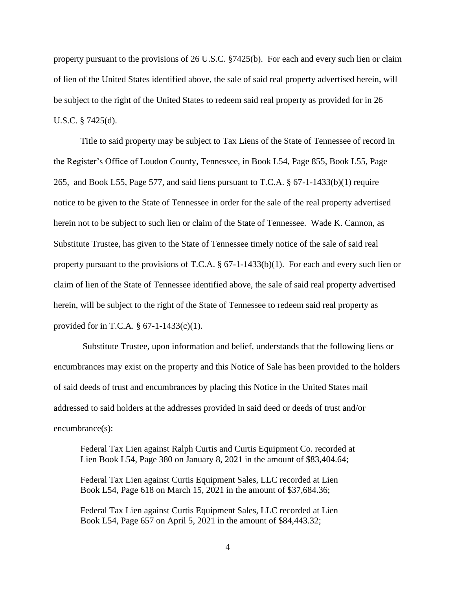property pursuant to the provisions of 26 U.S.C. §7425(b). For each and every such lien or claim of lien of the United States identified above, the sale of said real property advertised herein, will be subject to the right of the United States to redeem said real property as provided for in 26 U.S.C. § 7425(d).

Title to said property may be subject to Tax Liens of the State of Tennessee of record in the Register's Office of Loudon County, Tennessee, in Book L54, Page 855, Book L55, Page 265, and Book L55, Page 577, and said liens pursuant to T.C.A. § 67-1-1433(b)(1) require notice to be given to the State of Tennessee in order for the sale of the real property advertised herein not to be subject to such lien or claim of the State of Tennessee. Wade K. Cannon, as Substitute Trustee, has given to the State of Tennessee timely notice of the sale of said real property pursuant to the provisions of T.C.A. § 67-1-1433(b)(1). For each and every such lien or claim of lien of the State of Tennessee identified above, the sale of said real property advertised herein, will be subject to the right of the State of Tennessee to redeem said real property as provided for in T.C.A. § 67-1-1433(c)(1).

Substitute Trustee, upon information and belief, understands that the following liens or encumbrances may exist on the property and this Notice of Sale has been provided to the holders of said deeds of trust and encumbrances by placing this Notice in the United States mail addressed to said holders at the addresses provided in said deed or deeds of trust and/or encumbrance(s):

Federal Tax Lien against Ralph Curtis and Curtis Equipment Co. recorded at Lien Book L54, Page 380 on January 8, 2021 in the amount of \$83,404.64;

Federal Tax Lien against Curtis Equipment Sales, LLC recorded at Lien Book L54, Page 618 on March 15, 2021 in the amount of \$37,684.36;

Federal Tax Lien against Curtis Equipment Sales, LLC recorded at Lien Book L54, Page 657 on April 5, 2021 in the amount of \$84,443.32;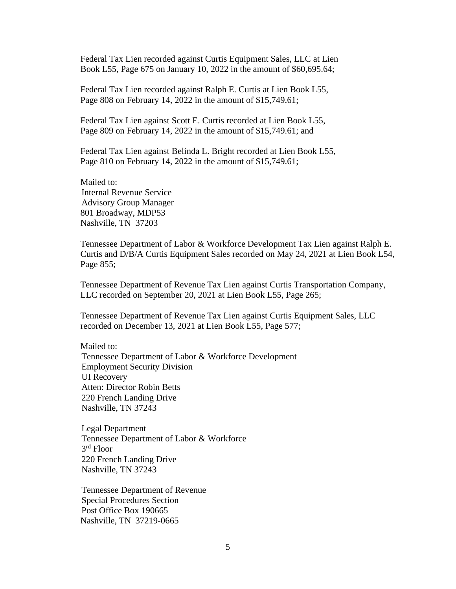Federal Tax Lien recorded against Curtis Equipment Sales, LLC at Lien Book L55, Page 675 on January 10, 2022 in the amount of \$60,695.64;

Federal Tax Lien recorded against Ralph E. Curtis at Lien Book L55, Page 808 on February 14, 2022 in the amount of \$15,749.61;

Federal Tax Lien against Scott E. Curtis recorded at Lien Book L55, Page 809 on February 14, 2022 in the amount of \$15,749.61; and

Federal Tax Lien against Belinda L. Bright recorded at Lien Book L55, Page 810 on February 14, 2022 in the amount of \$15,749.61;

Mailed to: Internal Revenue Service Advisory Group Manager 801 Broadway, MDP53 Nashville, TN 37203

Tennessee Department of Labor & Workforce Development Tax Lien against Ralph E. Curtis and D/B/A Curtis Equipment Sales recorded on May 24, 2021 at Lien Book L54, Page 855;

Tennessee Department of Revenue Tax Lien against Curtis Transportation Company, LLC recorded on September 20, 2021 at Lien Book L55, Page 265;

Tennessee Department of Revenue Tax Lien against Curtis Equipment Sales, LLC recorded on December 13, 2021 at Lien Book L55, Page 577;

Mailed to:

Tennessee Department of Labor & Workforce Development Employment Security Division UI Recovery Atten: Director Robin Betts 220 French Landing Drive Nashville, TN 37243

Legal Department Tennessee Department of Labor & Workforce 3 rd Floor 220 French Landing Drive Nashville, TN 37243

Tennessee Department of Revenue Special Procedures Section Post Office Box 190665 Nashville, TN 37219-0665